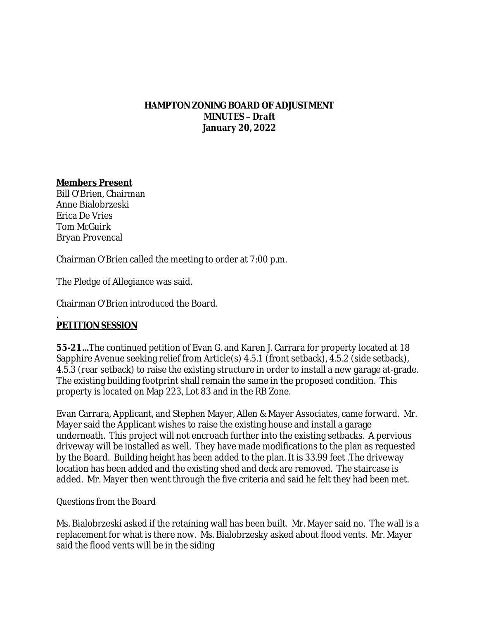## **HAMPTON ZONING BOARD OF ADJUSTMENT MINUTES –** *Draft* **January 20, 2022**

# **Members Present**

Bill O'Brien, Chairman Anne Bialobrzeski Erica De Vries Tom McGuirk Bryan Provencal

Chairman O'Brien called the meeting to order at 7:00 p.m.

The Pledge of Allegiance was said.

Chairman O'Brien introduced the Board.

#### . **PETITION SESSION**

**55-21…**The continued petition of Evan G. and Karen J. Carrara for property located at 18 Sapphire Avenue seeking relief from Article(s) 4.5.1 (front setback), 4.5.2 (side setback), 4.5.3 (rear setback) to raise the existing structure in order to install a new garage at-grade. The existing building footprint shall remain the same in the proposed condition. This property is located on Map 223, Lot 83 and in the RB Zone.

Evan Carrara, Applicant, and Stephen Mayer, Allen & Mayer Associates, came forward. Mr. Mayer said the Applicant wishes to raise the existing house and install a garage underneath. This project will not encroach further into the existing setbacks. A pervious driveway will be installed as well. They have made modifications to the plan as requested by the Board. Building height has been added to the plan. It is 33.99 feet .The driveway location has been added and the existing shed and deck are removed. The staircase is added. Mr. Mayer then went through the five criteria and said he felt they had been met.

# *Questions from the Board*

Ms. Bialobrzeski asked if the retaining wall has been built. Mr. Mayer said no. The wall is a replacement for what is there now. Ms. Bialobrzesky asked about flood vents. Mr. Mayer said the flood vents will be in the siding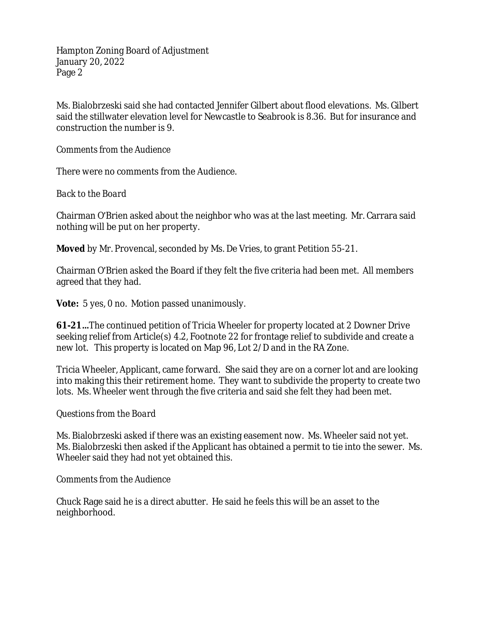Ms. Bialobrzeski said she had contacted Jennifer Gilbert about flood elevations. Ms. Gilbert said the stillwater elevation level for Newcastle to Seabrook is 8.36. But for insurance and construction the number is 9.

# *Comments from the Audience*

There were no comments from the Audience.

### *Back to the Board*

Chairman O'Brien asked about the neighbor who was at the last meeting. Mr. Carrara said nothing will be put on her property.

**Moved** by Mr. Provencal, seconded by Ms. De Vries, to grant Petition 55-21.

Chairman O'Brien asked the Board if they felt the five criteria had been met. All members agreed that they had.

**Vote:** 5 yes, 0 no. Motion passed unanimously.

**61-21…**The continued petition of Tricia Wheeler for property located at 2 Downer Drive seeking relief from Article(s) 4.2, Footnote 22 for frontage relief to subdivide and create a new lot. This property is located on Map 96, Lot 2/D and in the RA Zone.

Tricia Wheeler, Applicant, came forward. She said they are on a corner lot and are looking into making this their retirement home. They want to subdivide the property to create two lots. Ms. Wheeler went through the five criteria and said she felt they had been met.

### *Questions from the Board*

Ms. Bialobrzeski asked if there was an existing easement now. Ms. Wheeler said not yet. Ms. Bialobrzeski then asked if the Applicant has obtained a permit to tie into the sewer. Ms. Wheeler said they had not yet obtained this.

### *Comments from the Audience*

Chuck Rage said he is a direct abutter. He said he feels this will be an asset to the neighborhood.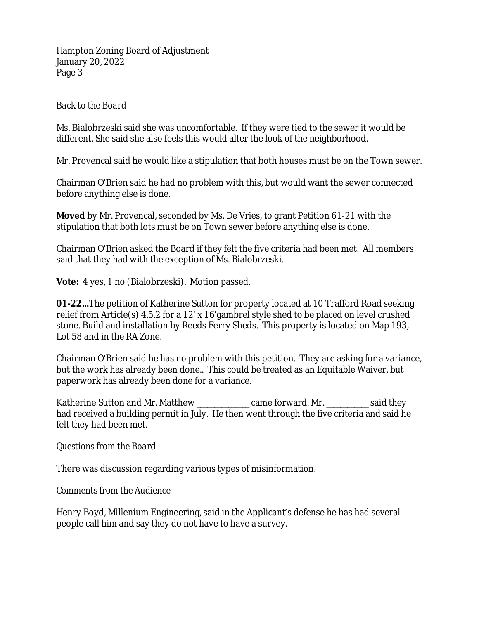# *Back to the Board*

Ms. Bialobrzeski said she was uncomfortable. If they were tied to the sewer it would be different. She said she also feels this would alter the look of the neighborhood.

Mr. Provencal said he would like a stipulation that both houses must be on the Town sewer.

Chairman O'Brien said he had no problem with this, but would want the sewer connected before anything else is done.

**Moved** by Mr. Provencal, seconded by Ms. De Vries, to grant Petition 61-21 with the stipulation that both lots must be on Town sewer before anything else is done.

Chairman O'Brien asked the Board if they felt the five criteria had been met. All members said that they had with the exception of Ms. Bialobrzeski.

**Vote:** 4 yes, 1 no (Bialobrzeski). Motion passed.

**01-22…**The petition of Katherine Sutton for property located at 10 Trafford Road seeking relief from Article(s) 4.5.2 for a 12' x 16'gambrel style shed to be placed on level crushed stone. Build and installation by Reeds Ferry Sheds. This property is located on Map 193, Lot 58 and in the RA Zone.

Chairman O'Brien said he has no problem with this petition. They are asking for a variance, but the work has already been done.. This could be treated as an Equitable Waiver, but paperwork has already been done for a variance.

Katherine Sutton and Mr. Matthew \_\_\_\_\_\_\_\_\_\_\_\_\_\_ came forward. Mr. \_\_\_\_\_\_\_\_\_\_\_\_ said they had received a building permit in July. He then went through the five criteria and said he felt they had been met.

### *Questions from the Board*

There was discussion regarding various types of misinformation.

# *Comments from the Audience*

Henry Boyd, Millenium Engineering, said in the Applicant's defense he has had several people call him and say they do not have to have a survey.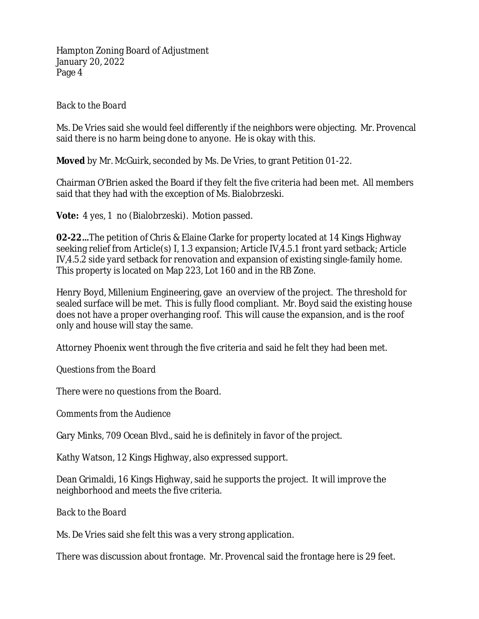# *Back to the Board*

Ms. De Vries said she would feel differently if the neighbors were objecting. Mr. Provencal said there is no harm being done to anyone. He is okay with this.

**Moved** by Mr. McGuirk, seconded by Ms. De Vries, to grant Petition 01-22.

Chairman O'Brien asked the Board if they felt the five criteria had been met. All members said that they had with the exception of Ms. Bialobrzeski.

**Vote:** 4 yes, 1 no (Bialobrzeski). Motion passed.

**02-22…**The petition of Chris & Elaine Clarke for property located at 14 Kings Highway seeking relief from Article(s) I, 1.3 expansion; Article IV,4.5.1 front yard setback; Article IV,4.5.2 side yard setback for renovation and expansion of existing single-family home. This property is located on Map 223, Lot 160 and in the RB Zone.

Henry Boyd, Millenium Engineering, gave an overview of the project. The threshold for sealed surface will be met. This is fully flood compliant. Mr. Boyd said the existing house does not have a proper overhanging roof. This will cause the expansion, and is the roof only and house will stay the same.

Attorney Phoenix went through the five criteria and said he felt they had been met.

*Questions from the Board*

There were no questions from the Board.

*Comments from the Audience*

Gary Minks, 709 Ocean Blvd., said he is definitely in favor of the project.

Kathy Watson, 12 Kings Highway, also expressed support.

Dean Grimaldi, 16 Kings Highway, said he supports the project. It will improve the neighborhood and meets the five criteria.

*Back to the Board*

Ms. De Vries said she felt this was a very strong application.

There was discussion about frontage. Mr. Provencal said the frontage here is 29 feet.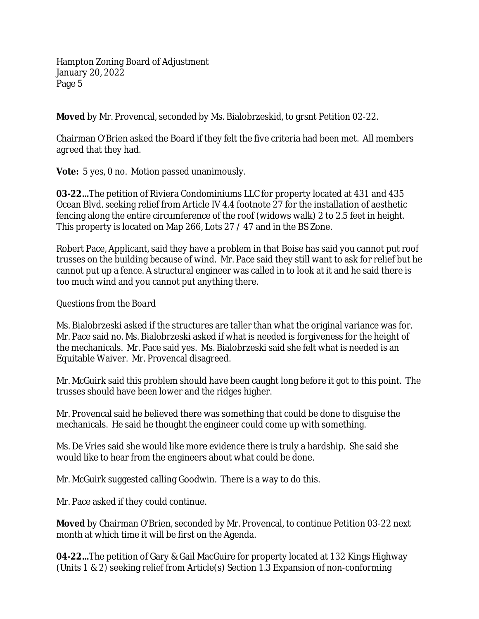**Moved** by Mr. Provencal, seconded by Ms. Bialobrzeskid, to grsnt Petition 02-22.

Chairman O'Brien asked the Board if they felt the five criteria had been met. All members agreed that they had.

**Vote:** 5 yes, 0 no. Motion passed unanimously.

**03-22…**The petition of Riviera Condominiums LLC for property located at 431 and 435 Ocean Blvd. seeking relief from Article IV 4.4 footnote 27 for the installation of aesthetic fencing along the entire circumference of the roof (widows walk) 2 to 2.5 feet in height. This property is located on Map 266, Lots 27 / 47 and in the BS Zone.

Robert Pace, Applicant, said they have a problem in that Boise has said you cannot put roof trusses on the building because of wind. Mr. Pace said they still want to ask for relief but he cannot put up a fence. A structural engineer was called in to look at it and he said there is too much wind and you cannot put anything there.

# *Questions from the Board*

Ms. Bialobrzeski asked if the structures are taller than what the original variance was for. Mr. Pace said no. Ms. Bialobrzeski asked if what is needed is forgiveness for the height of the mechanicals. Mr. Pace said yes. Ms. Bialobrzeski said she felt what is needed is an Equitable Waiver. Mr. Provencal disagreed.

Mr. McGuirk said this problem should have been caught long before it got to this point. The trusses should have been lower and the ridges higher.

Mr. Provencal said he believed there was something that could be done to disguise the mechanicals. He said he thought the engineer could come up with something.

Ms. De Vries said she would like more evidence there is truly a hardship. She said she would like to hear from the engineers about what could be done.

Mr. McGuirk suggested calling Goodwin. There is a way to do this.

Mr. Pace asked if they could continue.

**Moved** by Chairman O'Brien, seconded by Mr. Provencal, to continue Petition 03-22 next month at which time it will be first on the Agenda.

**04-22…**The petition of Gary & Gail MacGuire for property located at 132 Kings Highway (Units 1 & 2) seeking relief from Article(s) Section 1.3 Expansion of non-conforming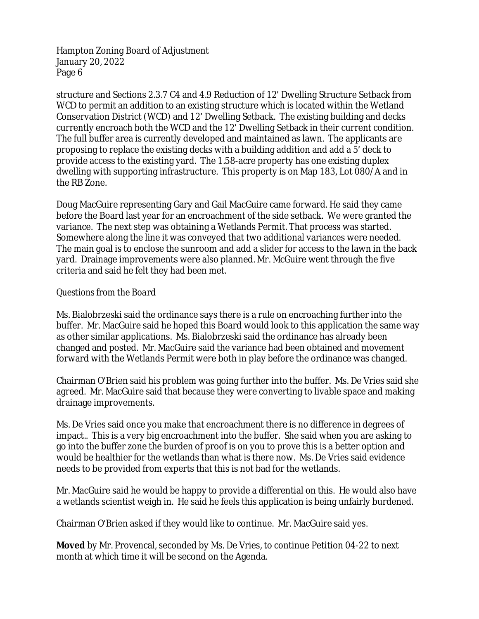structure and Sections 2.3.7 C4 and 4.9 Reduction of 12' Dwelling Structure Setback from WCD to permit an addition to an existing structure which is located within the Wetland Conservation District (WCD) and 12' Dwelling Setback. The existing building and decks currently encroach both the WCD and the 12' Dwelling Setback in their current condition. The full buffer area is currently developed and maintained as lawn. The applicants are proposing to replace the existing decks with a building addition and add a 5' deck to provide access to the existing yard. The 1.58-acre property has one existing duplex dwelling with supporting infrastructure. This property is on Map 183, Lot 080/A and in the RB Zone.

Doug MacGuire representing Gary and Gail MacGuire came forward. He said they came before the Board last year for an encroachment of the side setback. We were granted the variance. The next step was obtaining a Wetlands Permit. That process was started. Somewhere along the line it was conveyed that two additional variances were needed. The main goal is to enclose the sunroom and add a slider for access to the lawn in the back yard. Drainage improvements were also planned. Mr. McGuire went through the five criteria and said he felt they had been met.

### *Questions from the Board*

Ms. Bialobrzeski said the ordinance says there is a rule on encroaching further into the buffer. Mr. MacGuire said he hoped this Board would look to this application the same way as other similar applications. Ms. Bialobrzeski said the ordinance has already been changed and posted. Mr. MacGuire said the variance had been obtained and movement forward with the Wetlands Permit were both in play before the ordinance was changed.

Chairman O'Brien said his problem was going further into the buffer. Ms. De Vries said she agreed. Mr. MacGuire said that because they were converting to livable space and making drainage improvements.

Ms. De Vries said once you make that encroachment there is no difference in degrees of impact.. This is a very big encroachment into the buffer. She said when you are asking to go into the buffer zone the burden of proof is on you to prove this is a better option and would be healthier for the wetlands than what is there now. Ms. De Vries said evidence needs to be provided from experts that this is not bad for the wetlands.

Mr. MacGuire said he would be happy to provide a differential on this. He would also have a wetlands scientist weigh in. He said he feels this application is being unfairly burdened.

Chairman O'Brien asked if they would like to continue. Mr. MacGuire said yes.

**Moved** by Mr. Provencal, seconded by Ms. De Vries, to continue Petition 04-22 to next month at which time it will be second on the Agenda.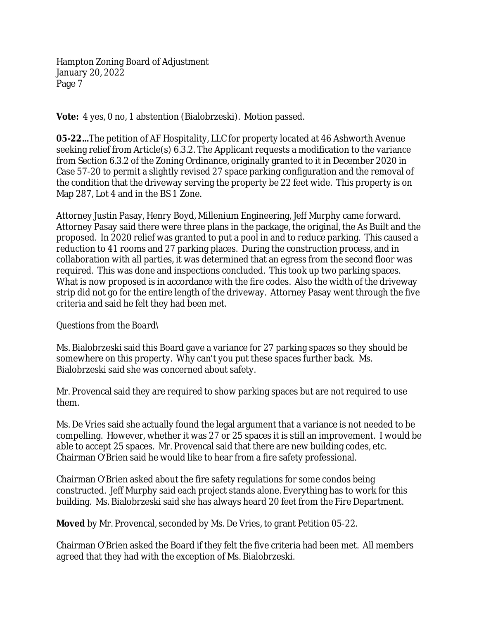**Vote:** 4 yes, 0 no, 1 abstention (Bialobrzeski). Motion passed.

**05-22…**The petition of AF Hospitality, LLC for property located at 46 Ashworth Avenue seeking relief from Article(s) 6.3.2. The Applicant requests a modification to the variance from Section 6.3.2 of the Zoning Ordinance, originally granted to it in December 2020 in Case 57-20 to permit a slightly revised 27 space parking configuration and the removal of the condition that the driveway serving the property be 22 feet wide. This property is on Map 287, Lot 4 and in the BS 1 Zone.

Attorney Justin Pasay, Henry Boyd, Millenium Engineering, Jeff Murphy came forward. Attorney Pasay said there were three plans in the package, the original, the As Built and the proposed. In 2020 relief was granted to put a pool in and to reduce parking. This caused a reduction to 41 rooms and 27 parking places. During the construction process, and in collaboration with all parties, it was determined that an egress from the second floor was required. This was done and inspections concluded. This took up two parking spaces. What is now proposed is in accordance with the fire codes. Also the width of the driveway strip did not go for the entire length of the driveway. Attorney Pasay went through the five criteria and said he felt they had been met.

### *Questions from the Board\*

Ms. Bialobrzeski said this Board gave a variance for 27 parking spaces so they should be somewhere on this property. Why can't you put these spaces further back. Ms. Bialobrzeski said she was concerned about safety.

Mr. Provencal said they are required to show parking spaces but are not required to use them.

Ms. De Vries said she actually found the legal argument that a variance is not needed to be compelling. However, whether it was 27 or 25 spaces it is still an improvement. I would be able to accept 25 spaces. Mr. Provencal said that there are new building codes, etc. Chairman O'Brien said he would like to hear from a fire safety professional.

Chairman O'Brien asked about the fire safety regulations for some condos being constructed. Jeff Murphy said each project stands alone. Everything has to work for this building. Ms. Bialobrzeski said she has always heard 20 feet from the Fire Department.

**Moved** by Mr. Provencal, seconded by Ms. De Vries, to grant Petition 05-22.

Chairman O'Brien asked the Board if they felt the five criteria had been met. All members agreed that they had with the exception of Ms. Bialobrzeski.